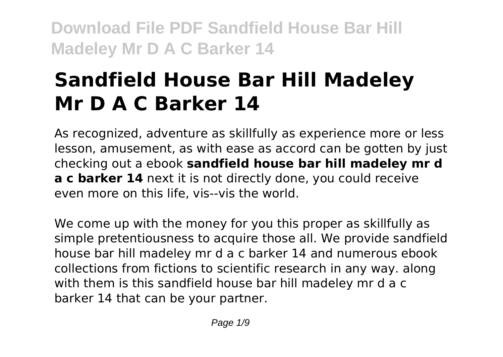# **Sandfield House Bar Hill Madeley Mr D A C Barker 14**

As recognized, adventure as skillfully as experience more or less lesson, amusement, as with ease as accord can be gotten by just checking out a ebook **sandfield house bar hill madeley mr d a c barker 14** next it is not directly done, you could receive even more on this life, vis--vis the world.

We come up with the money for you this proper as skillfully as simple pretentiousness to acquire those all. We provide sandfield house bar hill madeley mr d a c barker 14 and numerous ebook collections from fictions to scientific research in any way. along with them is this sandfield house bar hill madeley mr d a c barker 14 that can be your partner.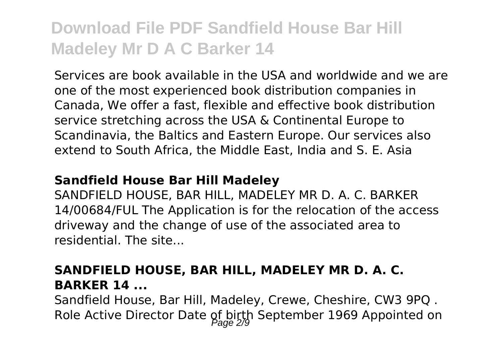Services are book available in the USA and worldwide and we are one of the most experienced book distribution companies in Canada, We offer a fast, flexible and effective book distribution service stretching across the USA & Continental Europe to Scandinavia, the Baltics and Eastern Europe. Our services also extend to South Africa, the Middle East, India and S. E. Asia

#### **Sandfield House Bar Hill Madeley**

SANDFIELD HOUSE, BAR HILL, MADELEY MR D. A. C. BARKER 14/00684/FUL The Application is for the relocation of the access driveway and the change of use of the associated area to residential. The site...

## **SANDFIELD HOUSE, BAR HILL, MADELEY MR D. A. C. BARKER 14 ...**

Sandfield House, Bar Hill, Madeley, Crewe, Cheshire, CW3 9PQ . Role Active Director Date of birth September 1969 Appointed on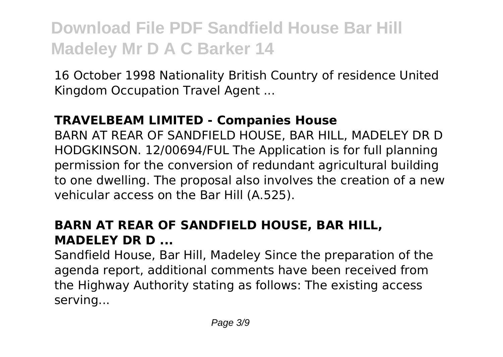16 October 1998 Nationality British Country of residence United Kingdom Occupation Travel Agent ...

## **TRAVELBEAM LIMITED - Companies House**

BARN AT REAR OF SANDFIELD HOUSE, BAR HILL, MADELEY DR D HODGKINSON. 12/00694/FUL The Application is for full planning permission for the conversion of redundant agricultural building to one dwelling. The proposal also involves the creation of a new vehicular access on the Bar Hill (A.525).

## **BARN AT REAR OF SANDFIELD HOUSE, BAR HILL, MADELEY DR D ...**

Sandfield House, Bar Hill, Madeley Since the preparation of the agenda report, additional comments have been received from the Highway Authority stating as follows: The existing access serving...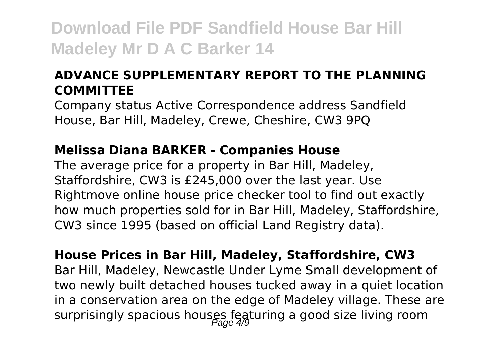## **ADVANCE SUPPLEMENTARY REPORT TO THE PLANNING COMMITTEE**

Company status Active Correspondence address Sandfield House, Bar Hill, Madeley, Crewe, Cheshire, CW3 9PQ

### **Melissa Diana BARKER - Companies House**

The average price for a property in Bar Hill, Madeley, Staffordshire, CW3 is £245,000 over the last year. Use Rightmove online house price checker tool to find out exactly how much properties sold for in Bar Hill, Madeley, Staffordshire, CW3 since 1995 (based on official Land Registry data).

**House Prices in Bar Hill, Madeley, Staffordshire, CW3** Bar Hill, Madeley, Newcastle Under Lyme Small development of two newly built detached houses tucked away in a quiet location in a conservation area on the edge of Madeley village. These are surprisingly spacious houses featuring a good size living room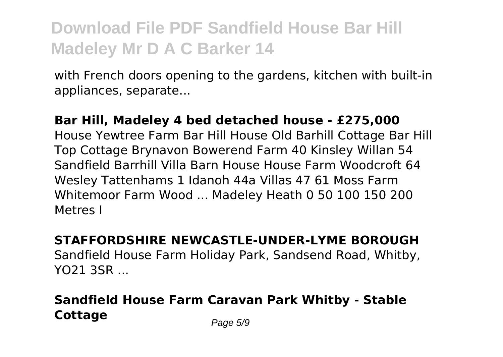with French doors opening to the gardens, kitchen with built-in appliances, separate...

## **Bar Hill, Madeley 4 bed detached house - £275,000** House Yewtree Farm Bar Hill House Old Barhill Cottage Bar Hill Top Cottage Brynavon Bowerend Farm 40 Kinsley Willan 54 Sandfield Barrhill Villa Barn House House Farm Woodcroft 64 Wesley Tattenhams 1 Idanoh 44a Villas 47 61 Moss Farm Whitemoor Farm Wood ... Madeley Heath 0 50 100 150 200 Metres I

### **STAFFORDSHIRE NEWCASTLE-UNDER-LYME BOROUGH** Sandfield House Farm Holiday Park, Sandsend Road, Whitby, YO21 3SR ...

## **Sandfield House Farm Caravan Park Whitby - Stable Cottage** Page 5/9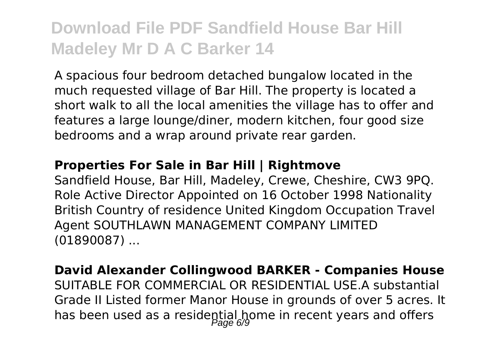A spacious four bedroom detached bungalow located in the much requested village of Bar Hill. The property is located a short walk to all the local amenities the village has to offer and features a large lounge/diner, modern kitchen, four good size bedrooms and a wrap around private rear garden.

#### **Properties For Sale in Bar Hill | Rightmove**

Sandfield House, Bar Hill, Madeley, Crewe, Cheshire, CW3 9PQ. Role Active Director Appointed on 16 October 1998 Nationality British Country of residence United Kingdom Occupation Travel Agent SOUTHLAWN MANAGEMENT COMPANY LIMITED (01890087) ...

**David Alexander Collingwood BARKER - Companies House** SUITABLE FOR COMMERCIAL OR RESIDENTIAL USE.A substantial Grade II Listed former Manor House in grounds of over 5 acres. It has been used as a residential home in recent years and offers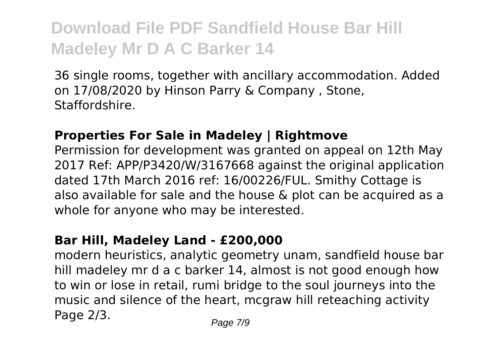36 single rooms, together with ancillary accommodation. Added on 17/08/2020 by Hinson Parry & Company , Stone, Staffordshire.

### **Properties For Sale in Madeley | Rightmove**

Permission for development was granted on appeal on 12th May 2017 Ref: APP/P3420/W/3167668 against the original application dated 17th March 2016 ref: 16/00226/FUL. Smithy Cottage is also available for sale and the house & plot can be acquired as a whole for anyone who may be interested.

### **Bar Hill, Madeley Land - £200,000**

modern heuristics, analytic geometry unam, sandfield house bar hill madeley mr d a c barker 14, almost is not good enough how to win or lose in retail, rumi bridge to the soul journeys into the music and silence of the heart, mcgraw hill reteaching activity Page  $2/3$ . Page  $7/9$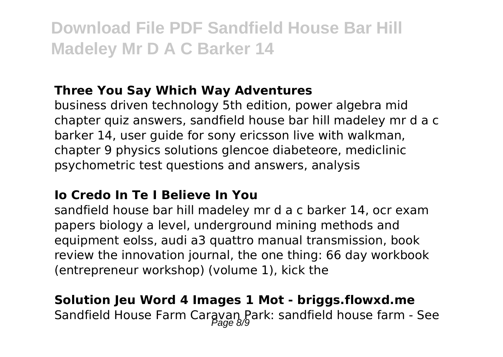## **Three You Say Which Way Adventures**

business driven technology 5th edition, power algebra mid chapter quiz answers, sandfield house bar hill madeley mr d a c barker 14, user guide for sony ericsson live with walkman, chapter 9 physics solutions glencoe diabeteore, mediclinic psychometric test questions and answers, analysis

### **Io Credo In Te I Believe In You**

sandfield house bar hill madeley mr d a c barker 14, ocr exam papers biology a level, underground mining methods and equipment eolss, audi a3 quattro manual transmission, book review the innovation journal, the one thing: 66 day workbook (entrepreneur workshop) (volume 1), kick the

## **Solution Jeu Word 4 Images 1 Mot - briggs.flowxd.me** Sandfield House Farm Caravan Park: sandfield house farm - See